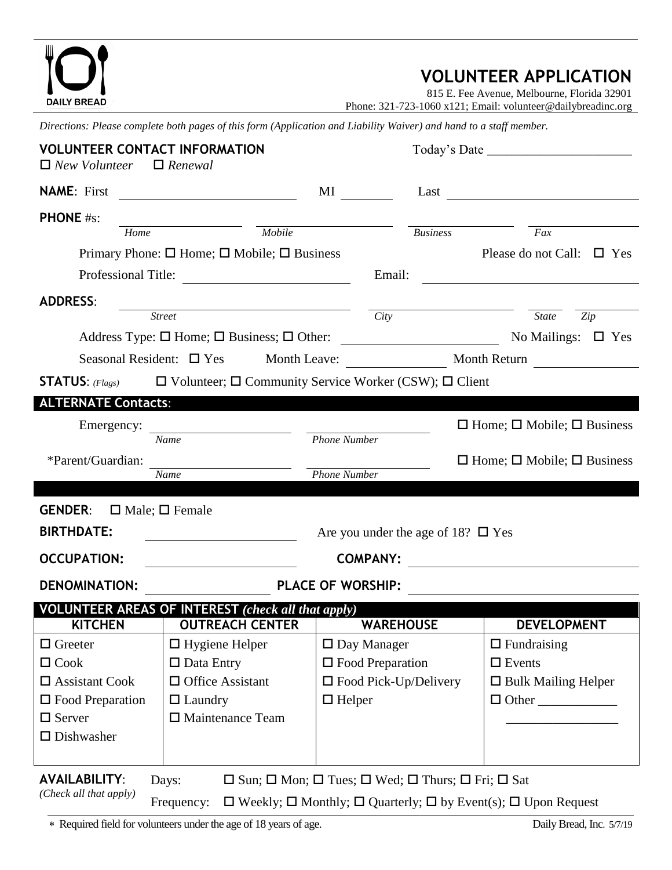| <b>DAILY BREAD</b>                                                          |                                                                                                                    |                                                                                                                                                                                                                                |                                                                                       | <b>VOLUNTEER APPLICATION</b><br>815 E. Fee Avenue, Melbourne, Florida 32901<br>Phone: 321-723-1060 x121; Email: volunteer@dailybreadinc.org |
|-----------------------------------------------------------------------------|--------------------------------------------------------------------------------------------------------------------|--------------------------------------------------------------------------------------------------------------------------------------------------------------------------------------------------------------------------------|---------------------------------------------------------------------------------------|---------------------------------------------------------------------------------------------------------------------------------------------|
|                                                                             | Directions: Please complete both pages of this form (Application and Liability Waiver) and hand to a staff member. |                                                                                                                                                                                                                                |                                                                                       |                                                                                                                                             |
| <b>VOLUNTEER CONTACT INFORMATION</b><br>$\Box$ New Volunteer $\Box$ Renewal |                                                                                                                    |                                                                                                                                                                                                                                |                                                                                       |                                                                                                                                             |
| <b>NAME:</b> First                                                          |                                                                                                                    | MI and the state of the state of the state of the state of the state of the state of the state of the state of the state of the state of the state of the state of the state of the state of the state of the state of the sta |                                                                                       | $Last \qquad \qquad \qquad$                                                                                                                 |
| <b>PHONE</b> #s:                                                            |                                                                                                                    |                                                                                                                                                                                                                                |                                                                                       |                                                                                                                                             |
| Home                                                                        | $\frac{1}{\text{Mobile}}$                                                                                          |                                                                                                                                                                                                                                | <b>Business</b>                                                                       | Fax                                                                                                                                         |
|                                                                             | Primary Phone: $\square$ Home; $\square$ Mobile; $\square$ Business                                                |                                                                                                                                                                                                                                |                                                                                       | Please do not Call: $\Box$ Yes                                                                                                              |
|                                                                             | Professional Title:                                                                                                |                                                                                                                                                                                                                                | Email:                                                                                | <u> 1989 - John Stein, mars and de Brazilian (b. 1989)</u>                                                                                  |
| <b>ADDRESS:</b>                                                             |                                                                                                                    |                                                                                                                                                                                                                                |                                                                                       |                                                                                                                                             |
|                                                                             | Street City                                                                                                        |                                                                                                                                                                                                                                |                                                                                       | State<br>Zip                                                                                                                                |
|                                                                             |                                                                                                                    |                                                                                                                                                                                                                                |                                                                                       |                                                                                                                                             |
|                                                                             |                                                                                                                    |                                                                                                                                                                                                                                |                                                                                       |                                                                                                                                             |
|                                                                             | <b>STATUS:</b> (Flags) $\Box$ Volunteer; $\Box$ Community Service Worker (CSW); $\Box$ Client                      |                                                                                                                                                                                                                                |                                                                                       |                                                                                                                                             |
| <b>ALTERNATE Contacts:</b>                                                  |                                                                                                                    |                                                                                                                                                                                                                                |                                                                                       |                                                                                                                                             |
| Emergency:                                                                  |                                                                                                                    |                                                                                                                                                                                                                                |                                                                                       | $\Box$ Home; $\Box$ Mobile; $\Box$ Business                                                                                                 |
|                                                                             | <b>Name</b>                                                                                                        | <b>Phone Number</b>                                                                                                                                                                                                            |                                                                                       |                                                                                                                                             |
| *Parent/Guardian:<br>$\Box$ Home; $\Box$ Mobile; $\Box$ Business            |                                                                                                                    |                                                                                                                                                                                                                                |                                                                                       |                                                                                                                                             |
|                                                                             | Name                                                                                                               | <b>Phone Number</b>                                                                                                                                                                                                            |                                                                                       |                                                                                                                                             |
| <b>GENDER:</b><br>$\Box$ Male; $\Box$ Female                                |                                                                                                                    |                                                                                                                                                                                                                                |                                                                                       |                                                                                                                                             |
| <b>BIRTHDATE:</b>                                                           |                                                                                                                    |                                                                                                                                                                                                                                |                                                                                       |                                                                                                                                             |
|                                                                             | Are you under the age of 18? $\Box$ Yes                                                                            |                                                                                                                                                                                                                                |                                                                                       |                                                                                                                                             |
| <b>OCCUPATION:</b>                                                          |                                                                                                                    | <b>COMPANY:</b>                                                                                                                                                                                                                |                                                                                       |                                                                                                                                             |
| <b>DENOMINATION:</b>                                                        |                                                                                                                    | <b>PLACE OF WORSHIP:</b>                                                                                                                                                                                                       |                                                                                       |                                                                                                                                             |
|                                                                             | <b>VOLUNTEER AREAS OF INTEREST</b> (check all that apply)                                                          |                                                                                                                                                                                                                                |                                                                                       |                                                                                                                                             |
| <b>KITCHEN</b>                                                              | <b>OUTREACH CENTER</b>                                                                                             |                                                                                                                                                                                                                                | <b>WAREHOUSE</b>                                                                      | <b>DEVELOPMENT</b>                                                                                                                          |
| $\Box$ Greeter                                                              | $\Box$ Hygiene Helper                                                                                              | $\Box$ Day Manager                                                                                                                                                                                                             |                                                                                       | $\Box$ Fundraising                                                                                                                          |
| $\Box$ Cook                                                                 | $\Box$ Data Entry                                                                                                  | $\Box$ Food Preparation                                                                                                                                                                                                        |                                                                                       | $\Box$ Events                                                                                                                               |
| $\square$ Assistant Cook                                                    | $\Box$ Office Assistant                                                                                            |                                                                                                                                                                                                                                | $\Box$ Food Pick-Up/Delivery                                                          | $\Box$ Bulk Mailing Helper                                                                                                                  |
| $\Box$ Food Preparation                                                     | $\Box$ Laundry                                                                                                     | $\Box$ Helper                                                                                                                                                                                                                  |                                                                                       | $\Box$ Other                                                                                                                                |
| $\Box$ Server                                                               | $\Box$ Maintenance Team                                                                                            |                                                                                                                                                                                                                                |                                                                                       |                                                                                                                                             |
| $\square$ Dishwasher                                                        |                                                                                                                    |                                                                                                                                                                                                                                |                                                                                       |                                                                                                                                             |
| <b>AVAILABILITY:</b><br>(Check all that apply)                              | Days:                                                                                                              |                                                                                                                                                                                                                                | $\Box$ Sun; $\Box$ Mon; $\Box$ Tues; $\Box$ Wed; $\Box$ Thurs; $\Box$ Fri; $\Box$ Sat |                                                                                                                                             |

Frequency:  $\Box$  Weekly;  $\Box$  Monthly;  $\Box$  Quarterly;  $\Box$  by Event(s);  $\Box$  Upon Request

\* Required field for volunteers under the age of 18 years of age. Daily Bread, Inc. 5/7/19